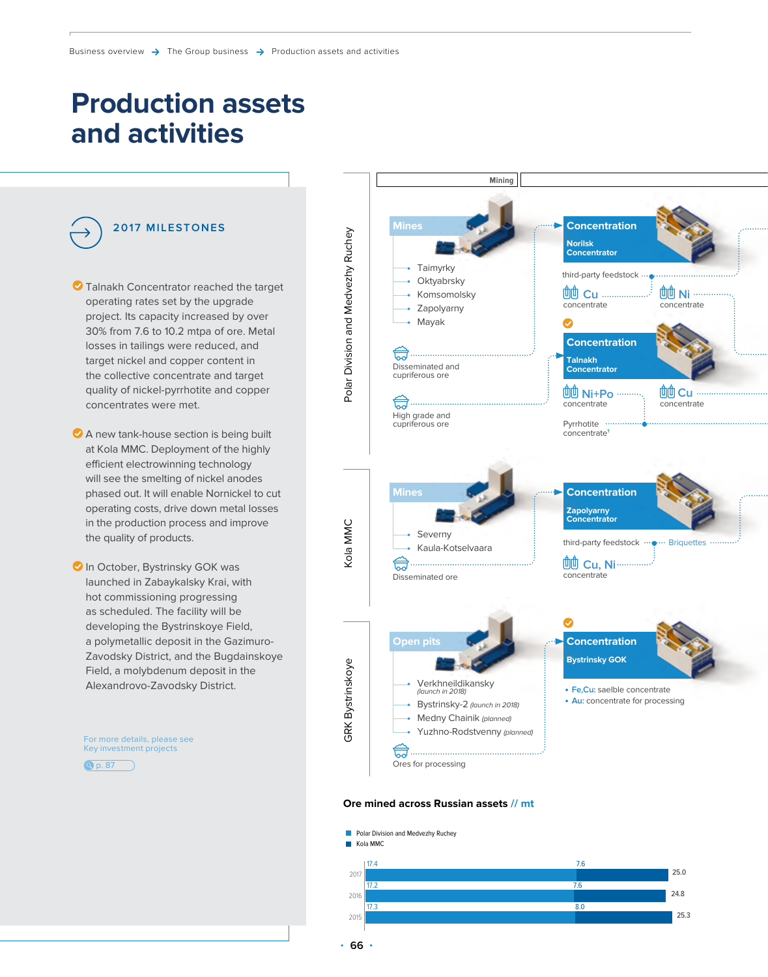# **Production assets and activities**



- $\bullet$  Talnakh Concentrator reached the target operating rates set by the upgrade project. Its capacity increased by over 30% from 7.6 to 10.2 mtpa of ore. Metal losses in tailings were reduced, and target nickel and copper content in the collective concentrate and target quality of nickel-pyrrhotite and copper concentrates were met.
- A new tank-house section is being built at Kola MMC. Deployment of the highly efficient electrowinning technology will see the smelting of nickel anodes phased out. It will enable Nornickel to cut operating costs, drive down metal losses in the production process and improve the quality of products.
- **In October, Bystrinsky GOK was** launched in Zabaykalsky Krai, with hot commissioning progressing as scheduled. The facility will be developing the Bystrinskoye Field, a polymetallic deposit in the Gazimuro-Zavodsky District, and the Bugdainskoye Field, a molybdenum deposit in the Alexandrovo-Zavodsky District.

For more details, please see Key investment projects





#### **Ore mined across Russian assets // mt**

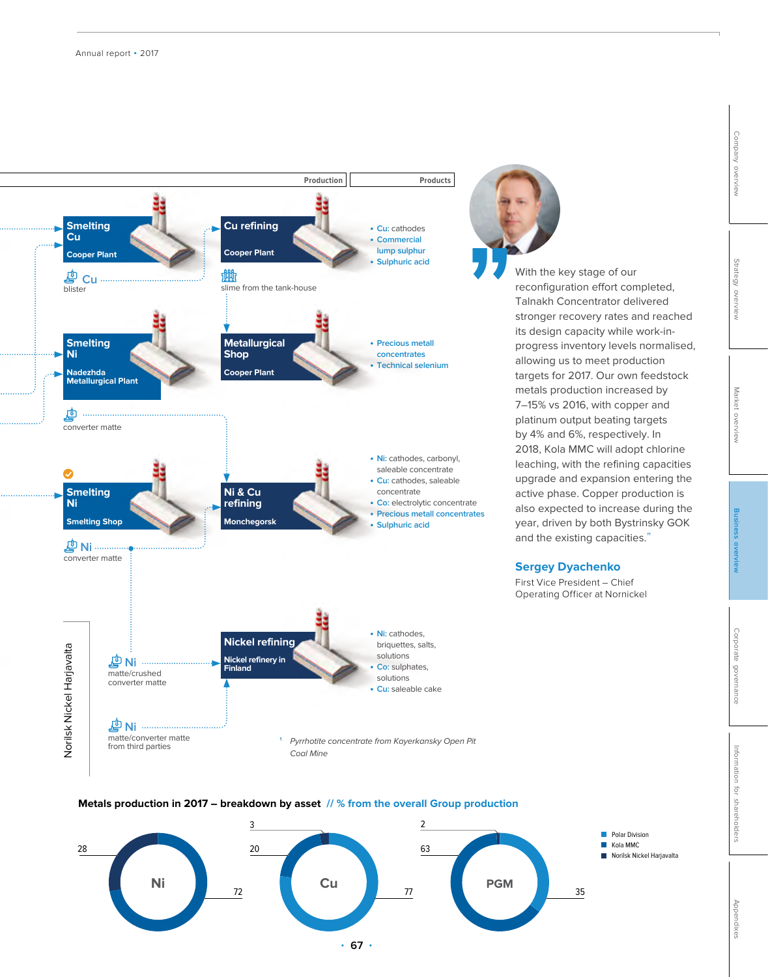

**Metals production in 2017 – breakdown by asset // % from the overall Group production**



With the key stage of our reconfiguration effort completed, Talnakh Concentrator delivered stronger recovery rates and reached its design capacity while work-inprogress inventory levels normalised, allowing us to meet production targets for 2017. Our own feedstock metals production increased by 7–15% vs 2016, with copper and platinum output beating targets by 4% and 6%, respectively. In 2018, Kola MMC will adopt chlorine leaching, with the refining capacities upgrade and expansion entering the active phase. Copper production is also expected to increase during the year, driven by both Bystrinsky GOK

and the existing capacities."

**Sergey Dyachenko** First Vice President – Chief Operating Officer at Nornickel

[Appendixes](#page--1-0)

Appendixes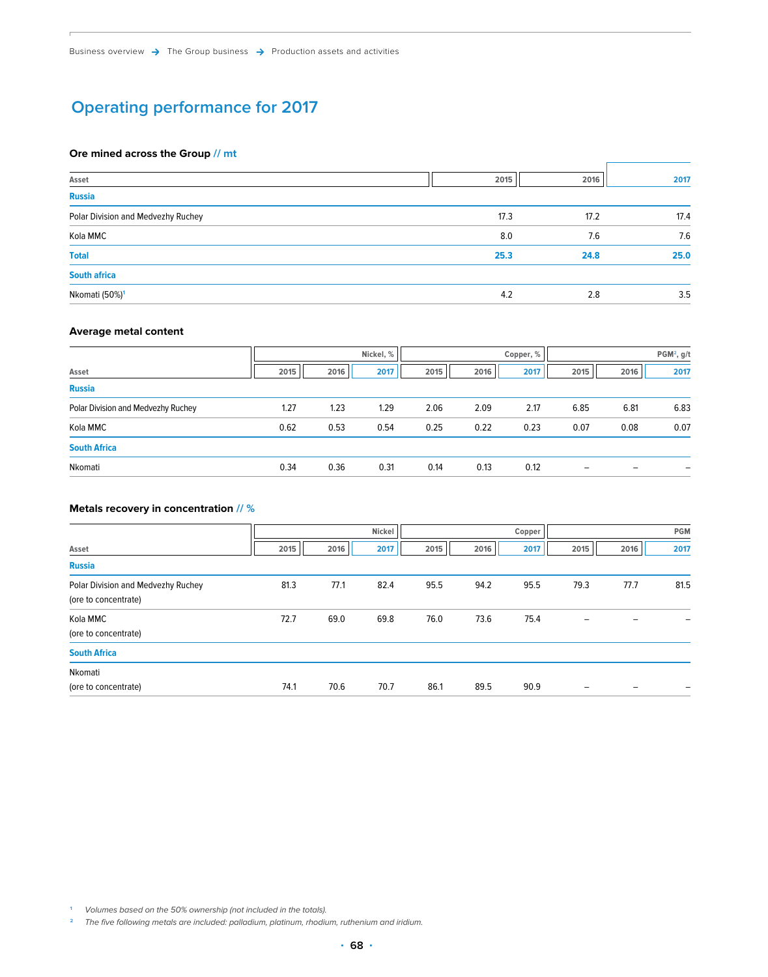## **Operating performance for 2017**

### **Ore mined across the Group // mt**

| Asset                              | 2015 | 2016 | 2017 |
|------------------------------------|------|------|------|
| <b>Russia</b>                      |      |      |      |
| Polar Division and Medvezhy Ruchey | 17.3 | 17.2 | 17.4 |
| Kola MMC                           | 8.0  | 7.6  | 7.6  |
| <b>Total</b>                       | 25.3 | 24.8 | 25.0 |
| <b>South africa</b>                |      |      |      |
| Nkomati (50%) <sup>1</sup>         | 4.2  | 2.8  | 3.5  |

### **Average metal content**

|                                    | Nickel, % |      |      | Copper, % |      |      | PGM <sup>2</sup> , g/t   |      |      |
|------------------------------------|-----------|------|------|-----------|------|------|--------------------------|------|------|
| Asset                              | 2015      | 2016 | 2017 | 2015      | 2016 | 2017 | 2015                     | 2016 | 2017 |
| <b>Russia</b>                      |           |      |      |           |      |      |                          |      |      |
| Polar Division and Medvezhy Ruchey | 1.27      | 1.23 | 1.29 | 2.06      | 2.09 | 2.17 | 6.85                     | 6.81 | 6.83 |
| Kola MMC                           | 0.62      | 0.53 | 0.54 | 0.25      | 0.22 | 0.23 | 0.07                     | 0.08 | 0.07 |
| <b>South Africa</b>                |           |      |      |           |      |      |                          |      |      |
| Nkomati                            | 0.34      | 0.36 | 0.31 | 0.14      | 0.13 | 0.12 | $\overline{\phantom{m}}$ |      |      |

### **Metals recovery in concentration // %**

|                                    | Nickel |      |      | Copper |      |      | <b>PGM</b> |      |      |
|------------------------------------|--------|------|------|--------|------|------|------------|------|------|
| Asset                              | 2015   | 2016 | 2017 | 2015   | 2016 | 2017 | 2015       | 2016 | 2017 |
| <b>Russia</b>                      |        |      |      |        |      |      |            |      |      |
| Polar Division and Medvezhy Ruchey | 81.3   | 77.1 | 82.4 | 95.5   | 94.2 | 95.5 | 79.3       | 77.7 | 81.5 |
| (ore to concentrate)               |        |      |      |        |      |      |            |      |      |
| Kola MMC<br>(ore to concentrate)   | 72.7   | 69.0 | 69.8 | 76.0   | 73.6 | 75.4 | -          |      |      |
| <b>South Africa</b>                |        |      |      |        |      |      |            |      |      |
| Nkomati                            |        |      |      |        |      |      |            |      |      |
| (ore to concentrate)               | 74.1   | 70.6 | 70.7 | 86.1   | 89.5 | 90.9 |            |      |      |

**<sup>1</sup>** Volumes based on the 50% ownership (not included in the totals).

<sup>2</sup> The five following metals are included: palladium, platinum, rhodium, ruthenium and iridium.